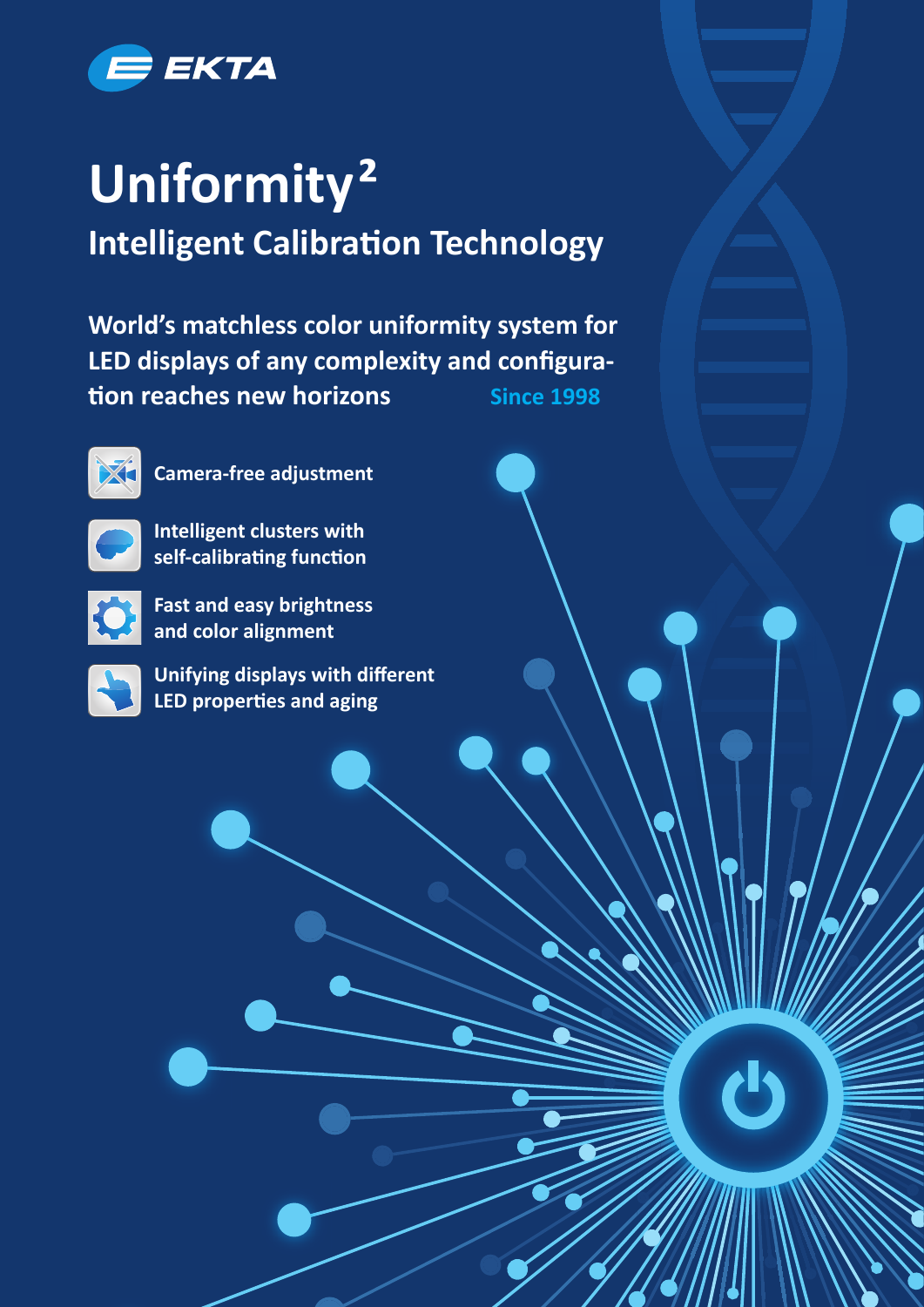

## **Uniformity² Intelligent Calibration Technology**

**World's matchless color uniformity system for**  LED displays of any complexity and configura**tion reaches new horizons** Since 1998



**• Camera-free adjustment**



**• Intelligent clusters with self-calibrating function** 



**• Fast and easy brightness and color alignment** 



**Unifying displays with different LED properties and aging**